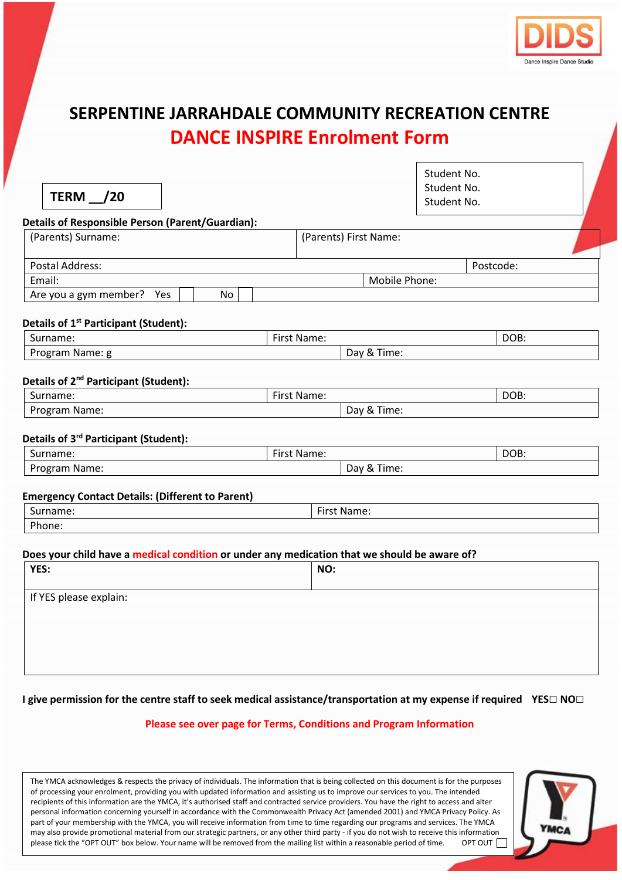

## **SERPENTINE JARRAHDALE COMMUNITY RECREATION CENTRE DANCE INSPIRE Enrolment Form**

| TERM $\frac{1}{20}$                                                                          |               |             |                       | Student No.<br>Student No.<br>Student No. |           |
|----------------------------------------------------------------------------------------------|---------------|-------------|-----------------------|-------------------------------------------|-----------|
| <b>Details of Responsible Person (Parent/Guardian):</b>                                      |               |             |                       |                                           |           |
| (Parents) Surname:                                                                           |               |             | (Parents) First Name: |                                           |           |
| <b>Postal Address:</b>                                                                       |               |             |                       |                                           | Postcode: |
| Email:                                                                                       | Mobile Phone: |             |                       |                                           |           |
| Are you a gym member?<br>Yes                                                                 | No            |             |                       |                                           |           |
| Details of 1 <sup>st</sup> Participant (Student):                                            |               |             |                       |                                           |           |
| Surname:                                                                                     |               | First Name: |                       |                                           | DOB:      |
| Program Name: g                                                                              |               | Day & Time: |                       |                                           |           |
| Details of 2 <sup>nd</sup> Participant (Student):<br>Surname:                                |               | First Name: |                       |                                           | DOB:      |
| Program Name:                                                                                |               |             | Day & Time:           |                                           |           |
| Details of 3 <sup>rd</sup> Participant (Student):                                            |               |             |                       |                                           |           |
| Surname:                                                                                     |               | First Name: |                       |                                           | DOB:      |
| Program Name:                                                                                |               |             | Day & Time:           |                                           |           |
| <b>Emergency Contact Details: (Different to Parent)</b>                                      |               |             |                       |                                           |           |
| Surname:                                                                                     |               |             | First Name:           |                                           |           |
| Phone:                                                                                       |               |             |                       |                                           |           |
|                                                                                              |               |             |                       |                                           |           |
| Does your child have a medical condition or under any medication that we should be aware of? |               |             |                       |                                           |           |
| YES:                                                                                         |               | NO:         |                       |                                           |           |

| YES:                   | NU: |
|------------------------|-----|
| If YES please explain: |     |
|                        |     |
|                        |     |
|                        |     |
|                        |     |

**I give permission for the centre staff to seek medical assistance/transportation at my expense if required YES□ NO□**

## **Please see over page for Terms, Conditions and Program Information**

The YMCA acknowledges & respects the privacy of individuals. The information that is being collected on this document is for the purposes of processing your enrolment, providing you with updated information and assisting us to improve our services to you. The intended recipients of this information are the YMCA, it's authorised staff and contracted service providers. You have the right to access and alter personal information concerning yourself in accordance with the Commonwealth Privacy Act (amended 2001) and YMCA Privacy Policy. As part of your membership with the YMCA, you will receive information from time to time regarding our programs and services. The YMCA may also provide promotional material from our strategic partners, or any other third party - if you do not wish to receive this information<br>please tick the "OPT OUT" box below. Your name will be removed from the mailing please tick the "OPT OUT" box below. Your name will be removed from the mailing list within a reasonable period of time.